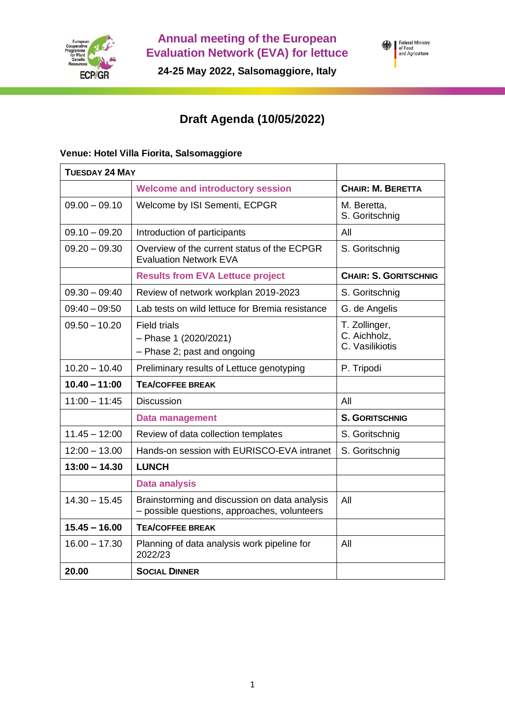

**Annual meeting of the European Evaluation Network (EVA) for lettuce**

Federal Ministry<br>of Food<br>and Agriculture

**24-25 May 2022, Salsomaggiore, Italy**

## **Draft Agenda (10/05/2022)**

## **Venue: Hotel Villa Fiorita, Salsomaggiore**

| <b>TUESDAY 24 MAY</b> |                                                                                               |                                                  |
|-----------------------|-----------------------------------------------------------------------------------------------|--------------------------------------------------|
|                       | <b>Welcome and introductory session</b>                                                       | <b>CHAIR: M. BERETTA</b>                         |
| $09.00 - 09.10$       | Welcome by ISI Sementi, ECPGR                                                                 | M. Beretta,<br>S. Goritschnig                    |
| $09.10 - 09.20$       | Introduction of participants                                                                  | All                                              |
| $09.20 - 09.30$       | Overview of the current status of the ECPGR<br><b>Evaluation Network EVA</b>                  | S. Goritschnig                                   |
|                       | <b>Results from EVA Lettuce project</b>                                                       | <b>CHAIR: S. GORITSCHNIG</b>                     |
| $09.30 - 09:40$       | Review of network workplan 2019-2023                                                          | S. Goritschnig                                   |
| $09:40 - 09:50$       | Lab tests on wild lettuce for Bremia resistance                                               | G. de Angelis                                    |
| $09.50 - 10.20$       | <b>Field trials</b><br>$-$ Phase 1 (2020/2021)<br>- Phase 2; past and ongoing                 | T. Zollinger,<br>C. Aichholz,<br>C. Vasilikiotis |
| $10.20 - 10.40$       | Preliminary results of Lettuce genotyping                                                     | P. Tripodi                                       |
| $10.40 - 11:00$       | <b>TEA/COFFEE BREAK</b>                                                                       |                                                  |
| $11:00 - 11:45$       | <b>Discussion</b>                                                                             | All                                              |
|                       | <b>Data management</b>                                                                        | <b>S. GORITSCHNIG</b>                            |
| $11.45 - 12:00$       | Review of data collection templates                                                           | S. Goritschnig                                   |
| $12:00 - 13.00$       | Hands-on session with EURISCO-EVA intranet                                                    | S. Goritschnig                                   |
| $13:00 - 14.30$       | <b>LUNCH</b>                                                                                  |                                                  |
|                       | <b>Data analysis</b>                                                                          |                                                  |
| $14.30 - 15.45$       | Brainstorming and discussion on data analysis<br>- possible questions, approaches, volunteers | All                                              |
| $15.45 - 16.00$       | <b>TEA/COFFEE BREAK</b>                                                                       |                                                  |
| $16.00 - 17.30$       | Planning of data analysis work pipeline for<br>2022/23                                        | All                                              |
| 20.00                 | <b>SOCIAL DINNER</b>                                                                          |                                                  |